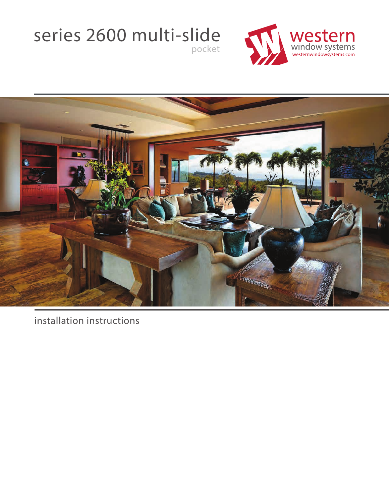## series 2600 multi-slide pocket





installation instructions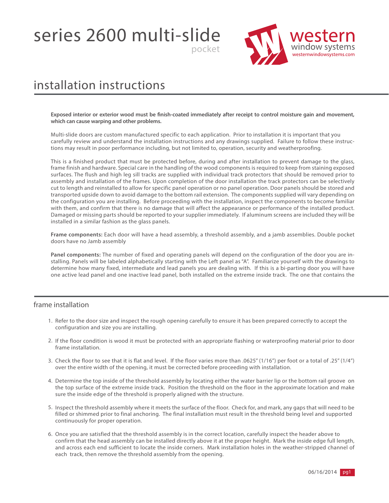series 2600 multi-slide



### installation instructions

**Exposed interior or exterior wood must be finish-coated immediately after receipt to control moisture gain and movement, which can cause warping and other problems.** 

pocket

Multi-slide doors are custom manufactured specific to each application. Prior to installation it is important that you carefully review and understand the installation instructions and any drawings supplied. Failure to follow these instructions may result in poor performance including, but not limited to, operation, security and weatherproofing.

This is a finished product that must be protected before, during and after installation to prevent damage to the glass, frame finish and hardware. Special care in the handling of the wood components is required to keep from staining exposed surfaces. The flush and high leg sill tracks are supplied with individual track protectors that should be removed prior to assembly and installation of the frames. Upon completion of the door installation the track protectors can be selectively cut to length and reinstalled to allow for specific panel operation or no panel operation. Door panels should be stored and transported upside down to avoid damage to the bottom rail extension. The components supplied will vary depending on the configuration you are installing. Before proceeding with the installation, inspect the components to become familiar with them, and confirm that there is no damage that will affect the appearance or performance of the installed product. Damaged or missing parts should be reported to your supplier immediately. If aluminum screens are included they will be installed in a similar fashion as the glass panels.

**Frame components:** Each door will have a head assembly, a threshold assembly, and a jamb assemblies. Double pocket doors have no Jamb assembly

**Panel components:** The number of fixed and operating panels will depend on the configuration of the door you are installing. Panels will be labeled alphabetically starting with the Left panel as "A". Familiarize yourself with the drawings to determine how many fixed, intermediate and lead panels you are dealing with. If this is a bi-parting door you will have one active lead panel and one inactive lead panel, both installed on the extreme inside track. The one that contains the

### frame installation

- 1. Refer to the door size and inspect the rough opening carefully to ensure it has been prepared correctly to accept the configuration and size you are installing.
- 2. If the floor condition is wood it must be protected with an appropriate flashing or waterproofing material prior to door frame installation.
- 3. Check the floor to see that it is flat and level. If the floor varies more than .0625" (1/16") per foot or a total of .25" (1/4") over the entire width of the opening, it must be corrected before proceeding with installation.
- 4. Determine the top inside of the threshold assembly by locating either the water barrier lip or the bottom rail groove on the top surface of the extreme inside track. Position the threshold on the floor in the approximate location and make sure the inside edge of the threshold is properly aligned with the structure.
- 5. Inspect the threshold assembly where it meets the surface of the floor. Check for, and mark, any gaps that will need to be filled or shimmed prior to final anchoring. The final installation must result in the threshold being level and supported continuously for proper operation.
- 6. Once you are satisfied that the threshold assembly is in the correct location, carefully inspect the header above to confirm that the head assembly can be installed directly above it at the proper height. Mark the inside edge full length, and across each end sufficient to locate the inside corners. Mark installation holes in the weather-stripped channel of each track, then remove the threshold assembly from the opening.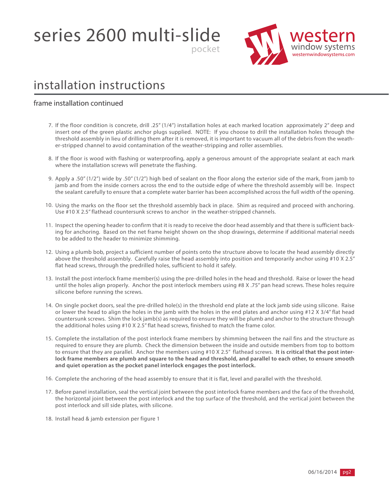series 2600 multi-slide



### installation instructions

#### frame installation continued

7. If the floor condition is concrete, drill .25" (1/4") installation holes at each marked location approximately 2" deep and insert one of the green plastic anchor plugs supplied. NOTE: If you choose to drill the installation holes through the threshold assembly in lieu of drilling them after it is removed, it is important to vacuum all of the debris from the weather-stripped channel to avoid contamination of the weather-stripping and roller assemblies.

pocket

- 8. If the floor is wood with flashing or waterproofing, apply a generous amount of the appropriate sealant at each mark where the installation screws will penetrate the flashing.
- 9. Apply a .50" (1/2") wide by .50" (1/2") high bed of sealant on the floor along the exterior side of the mark, from jamb to jamb and from the inside corners across the end to the outside edge of where the threshold assembly will be. Inspect the sealant carefully to ensure that a complete water barrier has been accomplished across the full width of the opening.
- 10. Using the marks on the floor set the threshold assembly back in place. Shim as required and proceed with anchoring. Use #10 X 2.5" flathead countersunk screws to anchor in the weather-stripped channels.
- 11. Inspect the opening header to confirm that it is ready to receive the door head assembly and that there is sufficient backing for anchoring. Based on the net frame height shown on the shop drawings, determine if additional material needs to be added to the header to minimize shimming.
- 12. Using a plumb bob, project a sufficient number of points onto the structure above to locate the head assembly directly above the threshold assembly. Carefully raise the head assembly into position and temporarily anchor using #10 X 2.5" flat head screws, through the predrilled holes, sufficient to hold it safely.
- 13. Install the post interlock frame member(s) using the pre-drilled holes in the head and threshold. Raise or lower the head until the holes align properly. Anchor the post interlock members using #8 X .75" pan head screws. These holes require silicone before running the screws.
- 14. On single pocket doors, seal the pre-drilled hole(s) in the threshold end plate at the lock jamb side using silicone. Raise or lower the head to align the holes in the jamb with the holes in the end plates and anchor using #12 X 3/4" flat head countersunk screws. Shim the lock jamb(s) as required to ensure they will be plumb and anchor to the structure through the additional holes using #10 X 2.5" flat head screws, finished to match the frame color.
- 15. Complete the installation of the post interlock frame members by shimming between the nail fins and the structure as required to ensure they are plumb. Check the dimension between the inside and outside members from top to bottom to ensure that they are parallel. Anchor the members using #10 X 2.5" flathead screws. **It is critical that the post interlock frame members are plumb and square to the head and threshold, and parallel to each other, to ensure smooth and quiet operation as the pocket panel interlock engages the post interlock.**
- 16. Complete the anchoring of the head assembly to ensure that it is flat, level and parallel with the threshold.
- 17. Before panel installation, seal the vertical joint between the post interlock frame members and the face of the threshold, the horizontal joint between the post interlock and the top surface of the threshold, and the vertical joint between the post interlock and sill side plates, with silicone.
- 18. Install head & jamb extension per figure 1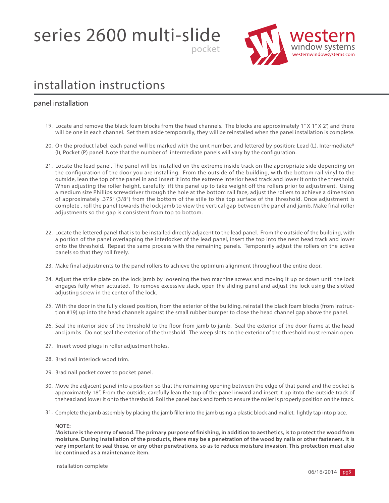series 2600 multi-slide



### installation instructions

#### panel installation

19. Locate and remove the black foam blocks from the head channels. The blocks are approximately 1" X 1" X 2", and there will be one in each channel. Set them aside temporarily, they will be reinstalled when the panel installation is complete.

pocket

- 20. On the product label, each panel will be marked with the unit number, and lettered by position: Lead (L), Intermediate\* (I), Pocket (P) panel. Note that the number of intermediate panels will vary by the configuration.
- 21. Locate the lead panel. The panel will be installed on the extreme inside track on the appropriate side depending on the configuration of the door you are installing. From the outside of the building, with the bottom rail vinyl to the outside, lean the top of the panel in and insert it into the extreme interior head track and lower it onto the threshold. When adjusting the roller height, carefully lift the panel up to take weight off the rollers prior to adjustment. Using a medium size Phillips screwdriver through the hole at the bottom rail face, adjust the rollers to achieve a dimension of approximately .375" (3/8") from the bottom of the stile to the top surface of the threshold. Once adjustment is complete , roll the panel towards the lock jamb to view the vertical gap between the panel and jamb. Make final roller adjustments so the gap is consistent from top to bottom.
- 22. Locate the lettered panel that is to be installed directly adjacent to the lead panel. From the outside of the building, with a portion of the panel overlapping the interlocker of the lead panel, insert the top into the next head track and lower onto the threshold. Repeat the same process with the remaining panels. Temporarily adjust the rollers on the active panels so that they roll freely.
- 23. Make final adjustments to the panel rollers to achieve the optimum alignment throughout the entire door.
- 24. Adjust the strike plate on the lock jamb by loosening the two machine screws and moving it up or down until the lock engages fully when actuated. To remove excessive slack, open the sliding panel and adjust the lock using the slotted adjusting screw in the center of the lock.
- 25. With the door in the fully closed position, from the exterior of the building, reinstall the black foam blocks (from instruction #19) up into the head channels against the small rubber bumper to close the head channel gap above the panel.
- 26. Seal the interior side of the threshold to the floor from jamb to jamb. Seal the exterior of the door frame at the head and jambs. Do not seal the exterior of the threshold. The weep slots on the exterior of the threshold must remain open.
- 27. Insert wood plugs in roller adjustment holes.
- 28. Brad nail interlock wood trim.
- 29. Brad nail pocket cover to pocket panel.
- 30. Move the adjacent panel into a position so that the remaining opening between the edge of that panel and the pocket is approximately 18". From the outside, carefully lean the top of the panel inward and insert it up itnto the outside track of thehead and lower it onto the threshold. Roll the panel back and forth to ensure the roller is properly position on the track.
- 31. Complete the jamb assembly by placing the jamb filler into the jamb using a plastic block and mallet, lightly tap into place.

#### **NOTE:**

**Moisture is the enemy of wood. The primary purpose of finishing, in addition to aesthetics, is to protect the wood from moisture. During installation of the products, there may be a penetration of the wood by nails or other fasteners. It is very important to seal these, or any other penetrations, so as to reduce moisture invasion. This protection must also be continued as a maintenance item.**

Installation complete